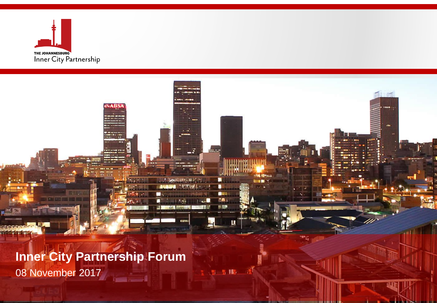

**Inner City Partnership Forum** 08 November 2017 **Service Common** 

**AVARS** 

**stag rightson** 

**STAR** 

**LE Neutrant State** 

**STATISTIC** 

ш

٠

 $q_{\text{HJ}}$ ra.

第五期の第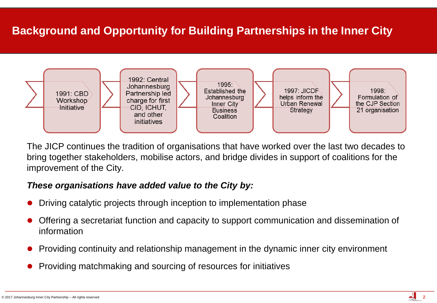# **Background and Opportunity for Building Partnerships in the Inner City**



The JICP continues the tradition of organisations that have worked over the last two decades to bring together stakeholders, mobilise actors, and bridge divides in support of coalitions for the improvement of the City.

#### *These organisations have added value to the City by:*

- Driving catalytic projects through inception to implementation phase
- Offering a secretariat function and capacity to support communication and dissemination of information
- Providing continuity and relationship management in the dynamic inner city environment
- Providing matchmaking and sourcing of resources for initiatives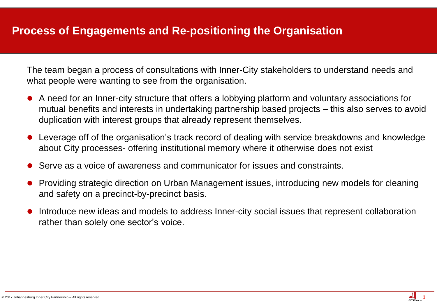### **Process of Engagements and Re-positioning the Organisation**

The team began a process of consultations with Inner-City stakeholders to understand needs and what people were wanting to see from the organisation.

- A need for an Inner-city structure that offers a lobbying platform and voluntary associations for mutual benefits and interests in undertaking partnership based projects – this also serves to avoid duplication with interest groups that already represent themselves.
- Leverage off of the organisation's track record of dealing with service breakdowns and knowledge about City processes- offering institutional memory where it otherwise does not exist
- Serve as a voice of awareness and communicator for issues and constraints.
- Providing strategic direction on Urban Management issues, introducing new models for cleaning and safety on a precinct-by-precinct basis.
- Introduce new ideas and models to address Inner-city social issues that represent collaboration rather than solely one sector's voice.

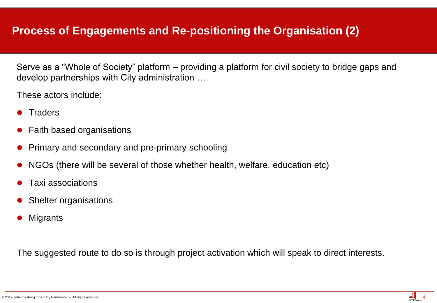Serve as a "Whole of Society" platform – providing a platform for civil society to bridge gaps and develop partnerships with City administration …

These actors include:

- **Traders**
- Faith based organisations
- Primary and secondary and pre-primary schooling
- NGOs (there will be several of those whether health, welfare, education etc)
- Taxi associations
- Shelter organisations
- **Migrants**

The suggested route to do so is through project activation which will speak to direct interests.

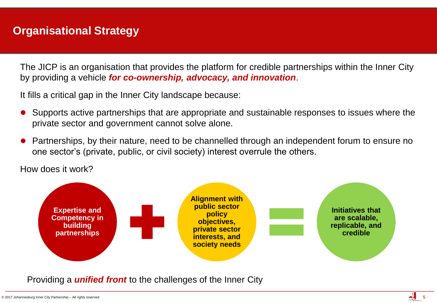## **Organisational Strategy**

The JICP is an organisation that provides the platform for credible partnerships within the Inner City by providing a vehicle *for co-ownership, advocacy, and innovation*.

It fills a critical gap in the Inner City landscape because:

- Supports active partnerships that are appropriate and sustainable responses to issues where the private sector and government cannot solve alone.
- Partnerships, by their nature, need to be channelled through an independent forum to ensure no one sector's (private, public, or civil society) interest overrule the others.

How does it work?



Providing a *unified front* to the challenges of the Inner City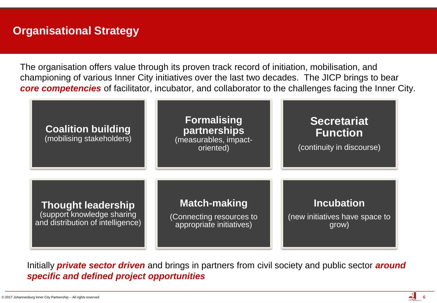## **Organisational Strategy**

The organisation offers value through its proven track record of initiation, mobilisation, and championing of various Inner City initiatives over the last two decades. The JICP brings to bear *core competencies* of facilitator, incubator, and collaborator to the challenges facing the Inner City.



Initially *private sector driven* and brings in partners from civil society and public sector *around specific and defined project opportunities*

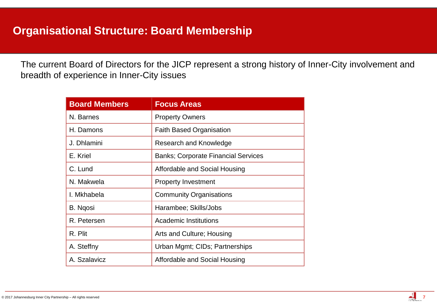The current Board of Directors for the JICP represent a strong history of Inner-City involvement and breadth of experience in Inner-City issues

| <b>Board Members</b> | <b>Focus Areas</b>                         |  |
|----------------------|--------------------------------------------|--|
| N. Barnes            | <b>Property Owners</b>                     |  |
| H. Damons            | <b>Faith Based Organisation</b>            |  |
| J. Dhlamini          | Research and Knowledge                     |  |
| E. Kriel             | <b>Banks; Corporate Financial Services</b> |  |
| C. Lund              | Affordable and Social Housing              |  |
| N. Makwela           | <b>Property Investment</b>                 |  |
| I. Mkhabela          | <b>Community Organisations</b>             |  |
| B. Ngosi             | Harambee; Skills/Jobs                      |  |
| R. Petersen          | <b>Academic Institutions</b>               |  |
| R. Plit              | Arts and Culture; Housing                  |  |
| A. Steffny           | Urban Mgmt; CIDs; Partnerships             |  |
| A. Szalavicz         | Affordable and Social Housing              |  |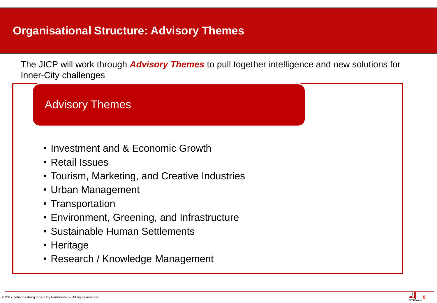# **Organisational Structure: Advisory Themes**

The JICP will work through *Advisory Themes* to pull together intelligence and new solutions for Inner-City challenges



• Research / Knowledge Management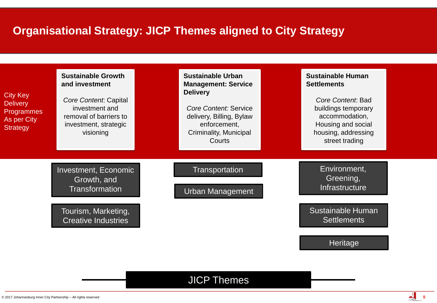# **Organisational Strategy: JICP Themes aligned to City Strategy**

| <b>City Key</b><br><b>Delivery</b><br><b>Programmes</b><br>As per City<br><b>Strategy</b> | <b>Sustainable Growth</b><br>and investment<br>Core Content: Capital<br>investment and<br>removal of barriers to<br>investment, strategic<br>visioning | <b>Sustainable Urban</b><br><b>Management: Service</b><br><b>Delivery</b><br><b>Core Content: Service</b><br>delivery, Billing, Bylaw<br>enforcement,<br>Criminality, Municipal | <b>Sustainable Human</b><br><b>Settlements</b><br>Core Content: Bad<br>buildings temporary<br>accommodation,<br>Housing and social<br>housing, addressing |
|-------------------------------------------------------------------------------------------|--------------------------------------------------------------------------------------------------------------------------------------------------------|---------------------------------------------------------------------------------------------------------------------------------------------------------------------------------|-----------------------------------------------------------------------------------------------------------------------------------------------------------|
|                                                                                           | Investment, Economic<br>Growth, and<br><b>Transformation</b>                                                                                           | Courts<br><b>Transportation</b><br><b>Urban Management</b>                                                                                                                      | street trading<br>Environment,<br>Greening,<br>Infrastructure                                                                                             |
|                                                                                           | Tourism, Marketing,<br><b>Creative Industries</b>                                                                                                      |                                                                                                                                                                                 | Sustainable Human<br><b>Settlements</b><br><b>Heritage</b>                                                                                                |

### JICP Themes

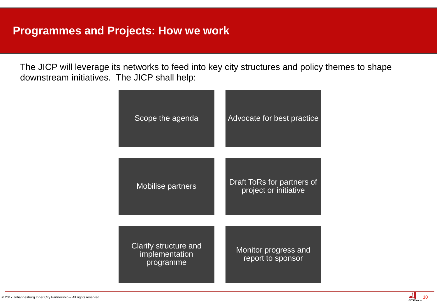The JICP will leverage its networks to feed into key city structures and policy themes to shape downstream initiatives. The JICP shall help:

| Scope the agenda                                     | Advocate for best practice                          |
|------------------------------------------------------|-----------------------------------------------------|
| <b>Mobilise partners</b>                             | Draft ToRs for partners of<br>project or initiative |
| Clarify structure and<br>implementation<br>programme | Monitor progress and<br>report to sponsor           |

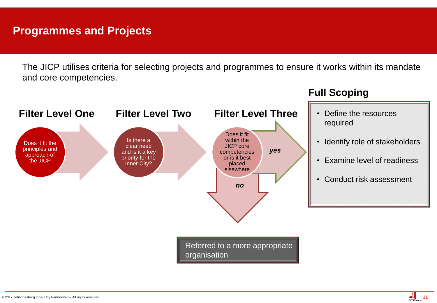### **Programmes and Projects**

The JICP utilises criteria for selecting projects and programmes to ensure it works within its mandate and core competencies.



#### **Full Scoping**

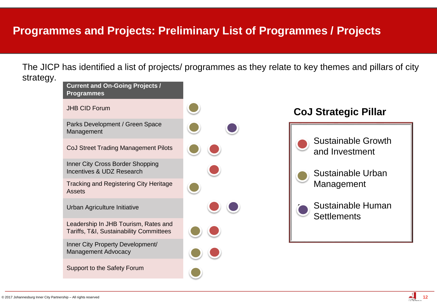### **Programmes and Projects: Preliminary List of Programmes / Projects**

The JICP has identified a list of projects/ programmes as they relate to key themes and pillars of city strategy.



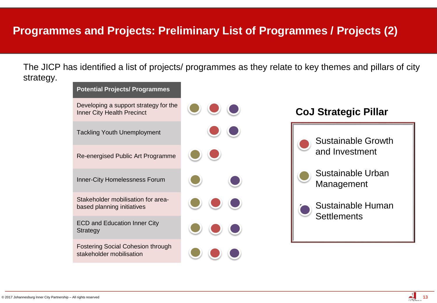### **Programmes and Projects: Preliminary List of Programmes / Projects (2)**

The JICP has identified a list of projects/ programmes as they relate to key themes and pillars of city strategy.



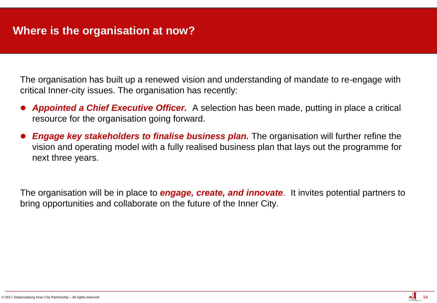The organisation has built up a renewed vision and understanding of mandate to re-engage with critical Inner-city issues. The organisation has recently:

- *Appointed a Chief Executive Officer.* A selection has been made, putting in place a critical resource for the organisation going forward.
- *Engage key stakeholders to finalise business plan.* The organisation will further refine the vision and operating model with a fully realised business plan that lays out the programme for next three years.

The organisation will be in place to *engage, create, and innovate*. It invites potential partners to bring opportunities and collaborate on the future of the Inner City.